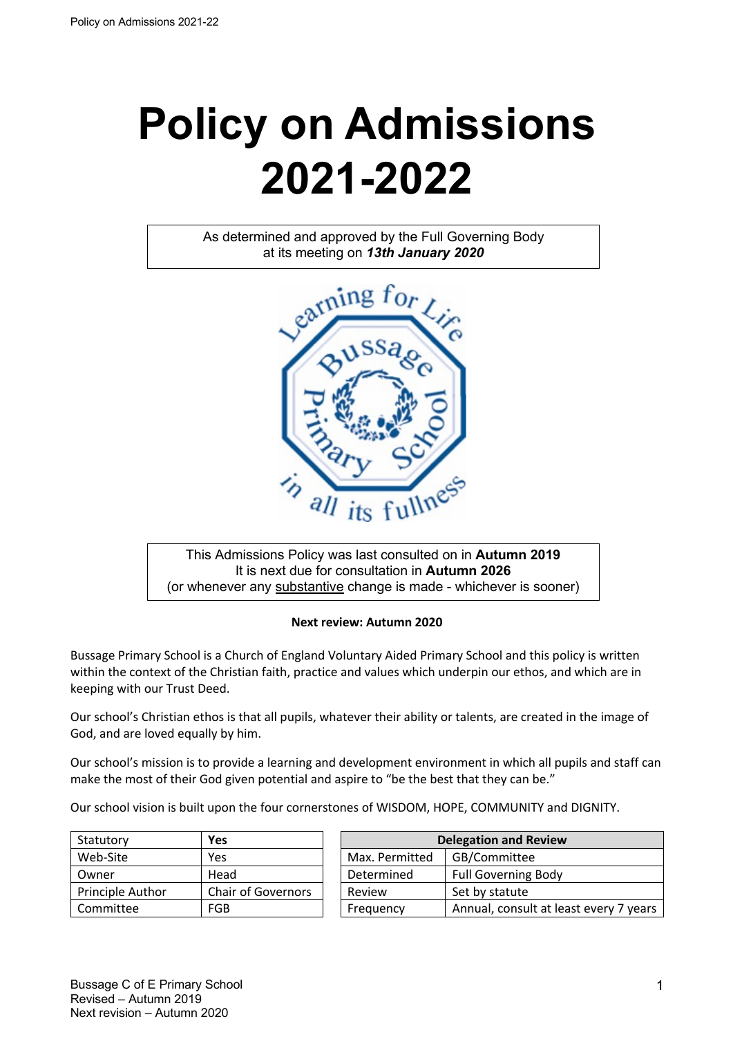# **Policy on Admissions 2021-2022**

As determined and approved by the Full Governing Body at its meeting on *13th January 2020*



This Admissions Policy was last consulted on in **Autumn 2019** It is next due for consultation in **Autumn 2026** (or whenever any substantive change is made - whichever is sooner)

#### **Next review: Autumn 2020**

Bussage Primary School is a Church of England Voluntary Aided Primary School and this policy is written within the context of the Christian faith, practice and values which underpin our ethos, and which are in keeping with our Trust Deed.

Our school's Christian ethos is that all pupils, whatever their ability or talents, are created in the image of God, and are loved equally by him.

Our school's mission is to provide a learning and development environment in which all pupils and staff can make the most of their God given potential and aspire to "be the best that they can be."

Our school vision is built upon the four cornerstones of WISDOM, HOPE, COMMUNITY and DIGNITY.

| Statutory        | Yes                       |                | <b>Delegation and Review</b> |
|------------------|---------------------------|----------------|------------------------------|
| Web-Site         | Yes                       | Max. Permitted | GB/Committee                 |
| Owner            | Head                      | Determined     | <b>Full Governing Body</b>   |
| Principle Author | <b>Chair of Governors</b> | Review         | Set by statute               |
| Committee        | FGB                       | Frequency      | Annual, consult at lea       |

| Statutory        | Yes                       | <b>Delegation and Review</b> |                                        |  |
|------------------|---------------------------|------------------------------|----------------------------------------|--|
| Web-Site         | Yes                       | Max. Permitted               | GB/Committee                           |  |
| Owner            | Head                      | Determined                   | <b>Full Governing Body</b>             |  |
| Principle Author | <b>Chair of Governors</b> | Review                       | Set by statute                         |  |
| Committee        | FGB                       | Frequency                    | Annual, consult at least every 7 years |  |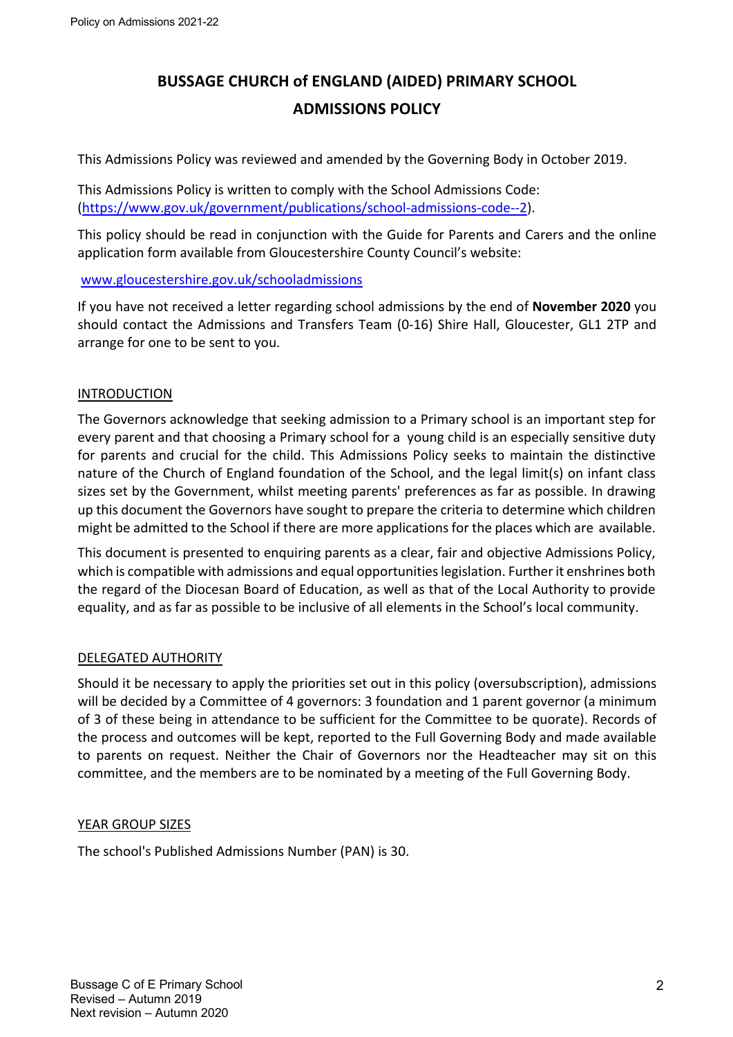# **BUSSAGE CHURCH of ENGLAND (AIDED) PRIMARY SCHOOL ADMISSIONS POLICY**

This Admissions Policy was reviewed and amended by the Governing Body in October 2019.

This Admissions Policy is written to comply with the School Admissions Code: (https://www.gov.uk/government/publications/school-admissions-code--2).

This policy should be read in conjunction with the Guide for Parents and Carers and the online application form available from Gloucestershire County Council's website:

# www.gloucestershire.gov.uk/schooladmissions

If you have not received a letter regarding school admissions by the end of **November 2020** you should contact the Admissions and Transfers Team (0-16) Shire Hall, Gloucester, GL1 2TP and arrange for one to be sent to you.

# INTRODUCTION

The Governors acknowledge that seeking admission to a Primary school is an important step for every parent and that choosing a Primary school for a young child is an especially sensitive duty for parents and crucial for the child. This Admissions Policy seeks to maintain the distinctive nature of the Church of England foundation of the School, and the legal limit(s) on infant class sizes set by the Government, whilst meeting parents' preferences as far as possible. In drawing up this document the Governors have sought to prepare the criteria to determine which children might be admitted to the School if there are more applications for the places which are available.

This document is presented to enquiring parents as a clear, fair and objective Admissions Policy, which is compatible with admissions and equal opportunities legislation. Further it enshrines both the regard of the Diocesan Board of Education, as well as that of the Local Authority to provide equality, and as far as possible to be inclusive of all elements in the School's local community.

# DELEGATED AUTHORITY

Should it be necessary to apply the priorities set out in this policy (oversubscription), admissions will be decided by a Committee of 4 governors: 3 foundation and 1 parent governor (a minimum of 3 of these being in attendance to be sufficient for the Committee to be quorate). Records of the process and outcomes will be kept, reported to the Full Governing Body and made available to parents on request. Neither the Chair of Governors nor the Headteacher may sit on this committee, and the members are to be nominated by a meeting of the Full Governing Body.

#### YEAR GROUP SIZES

The school's Published Admissions Number (PAN) is 30.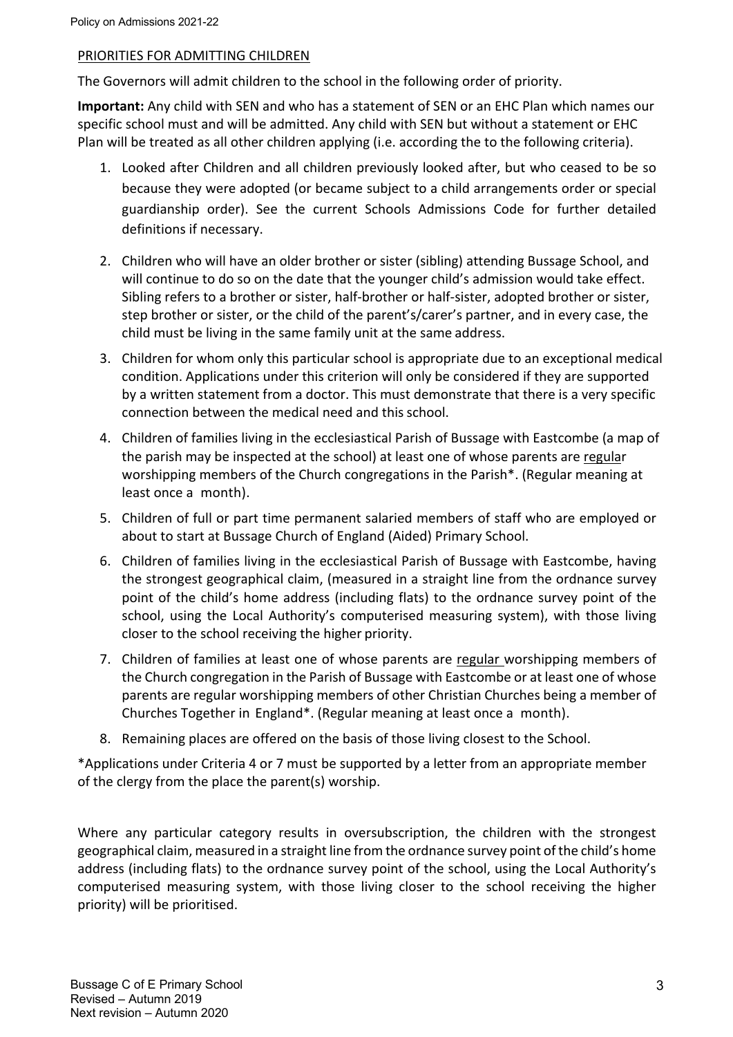# PRIORITIES FOR ADMITTING CHILDREN

The Governors will admit children to the school in the following order of priority.

**Important:** Any child with SEN and who has a statement of SEN or an EHC Plan which names our specific school must and will be admitted. Any child with SEN but without a statement or EHC Plan will be treated as all other children applying (i.e. according the to the following criteria).

- 1. Looked after Children and all children previously looked after, but who ceased to be so because they were adopted (or became subject to a child arrangements order or special guardianship order). See the current Schools Admissions Code for further detailed definitions if necessary.
- 2. Children who will have an older brother or sister (sibling) attending Bussage School, and will continue to do so on the date that the younger child's admission would take effect. Sibling refers to a brother or sister, half-brother or half-sister, adopted brother or sister, step brother or sister, or the child of the parent's/carer's partner, and in every case, the child must be living in the same family unit at the same address.
- 3. Children for whom only this particular school is appropriate due to an exceptional medical condition. Applications under this criterion will only be considered if they are supported by a written statement from a doctor. This must demonstrate that there is a very specific connection between the medical need and this school.
- 4. Children of families living in the ecclesiastical Parish of Bussage with Eastcombe (a map of the parish may be inspected at the school) at least one of whose parents are regular worshipping members of the Church congregations in the Parish\*. (Regular meaning at least once a month).
- 5. Children of full or part time permanent salaried members of staff who are employed or about to start at Bussage Church of England (Aided) Primary School.
- 6. Children of families living in the ecclesiastical Parish of Bussage with Eastcombe, having the strongest geographical claim, (measured in a straight line from the ordnance survey point of the child's home address (including flats) to the ordnance survey point of the school, using the Local Authority's computerised measuring system), with those living closer to the school receiving the higher priority.
- 7. Children of families at least one of whose parents are regular worshipping members of the Church congregation in the Parish of Bussage with Eastcombe or at least one of whose parents are regular worshipping members of other Christian Churches being a member of Churches Together in England\*. (Regular meaning at least once a month).
- 8. Remaining places are offered on the basis of those living closest to the School.

\*Applications under Criteria 4 or 7 must be supported by a letter from an appropriate member of the clergy from the place the parent(s) worship.

Where any particular category results in oversubscription, the children with the strongest geographical claim, measured in a straight line from the ordnance survey point of the child's home address (including flats) to the ordnance survey point of the school, using the Local Authority's computerised measuring system, with those living closer to the school receiving the higher priority) will be prioritised.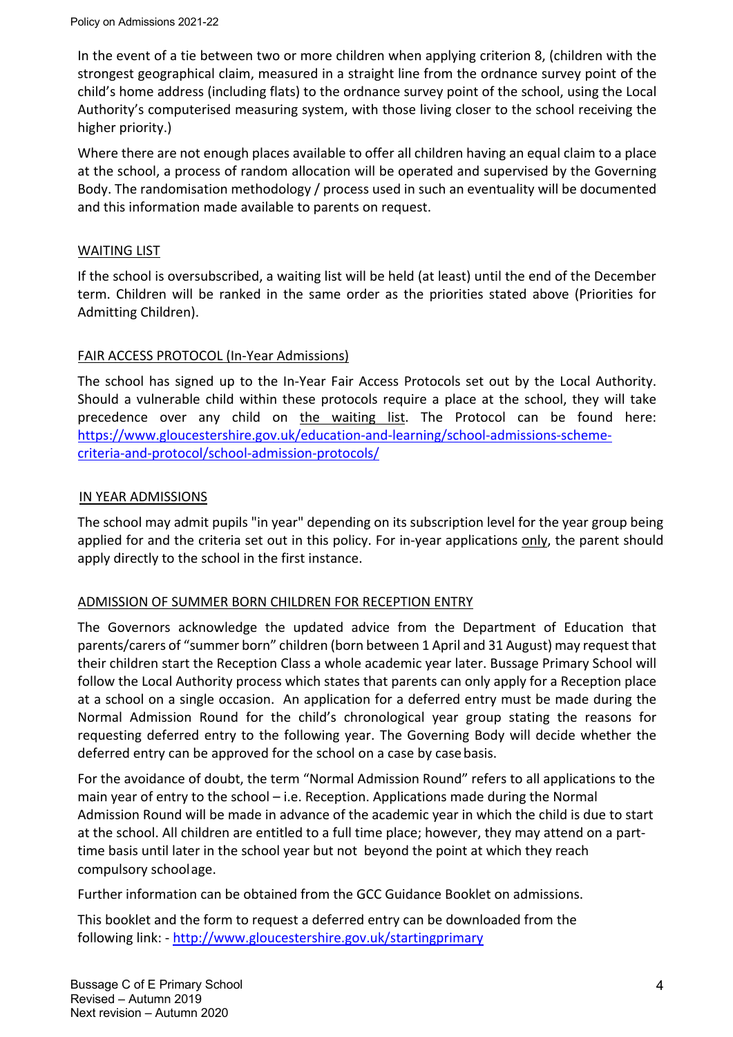In the event of a tie between two or more children when applying criterion 8, (children with the strongest geographical claim, measured in a straight line from the ordnance survey point of the child's home address (including flats) to the ordnance survey point of the school, using the Local Authority's computerised measuring system, with those living closer to the school receiving the higher priority.)

Where there are not enough places available to offer all children having an equal claim to a place at the school, a process of random allocation will be operated and supervised by the Governing Body. The randomisation methodology / process used in such an eventuality will be documented and this information made available to parents on request.

# WAITING LIST

If the school is oversubscribed, a waiting list will be held (at least) until the end of the December term. Children will be ranked in the same order as the priorities stated above (Priorities for Admitting Children).

# FAIR ACCESS PROTOCOL (In-Year Admissions)

The school has signed up to the In-Year Fair Access Protocols set out by the Local Authority. Should a vulnerable child within these protocols require a place at the school, they will take precedence over any child on the waiting list. The Protocol can be found here: https://www.gloucestershire.gov.uk/education-and-learning/school-admissions-schemecriteria-and-protocol/school-admission-protocols/

# IN YEAR ADMISSIONS

The school may admit pupils "in year" depending on its subscription level for the year group being applied for and the criteria set out in this policy. For in-year applications only, the parent should apply directly to the school in the first instance.

# ADMISSION OF SUMMER BORN CHILDREN FOR RECEPTION ENTRY

The Governors acknowledge the updated advice from the Department of Education that parents/carers of "summer born" children (born between 1 April and 31 August) may request that their children start the Reception Class a whole academic year later. Bussage Primary School will follow the Local Authority process which states that parents can only apply for a Reception place at a school on a single occasion. An application for a deferred entry must be made during the Normal Admission Round for the child's chronological year group stating the reasons for requesting deferred entry to the following year. The Governing Body will decide whether the deferred entry can be approved for the school on a case by casebasis.

For the avoidance of doubt, the term "Normal Admission Round" refers to all applications to the main year of entry to the school – i.e. Reception. Applications made during the Normal Admission Round will be made in advance of the academic year in which the child is due to start at the school. All children are entitled to a full time place; however, they may attend on a parttime basis until later in the school year but not beyond the point at which they reach compulsory schoolage.

Further information can be obtained from the GCC Guidance Booklet on admissions.

This booklet and the form to request a deferred entry can be downloaded from the following link: - http://www.gloucestershire.gov.uk/startingprimary